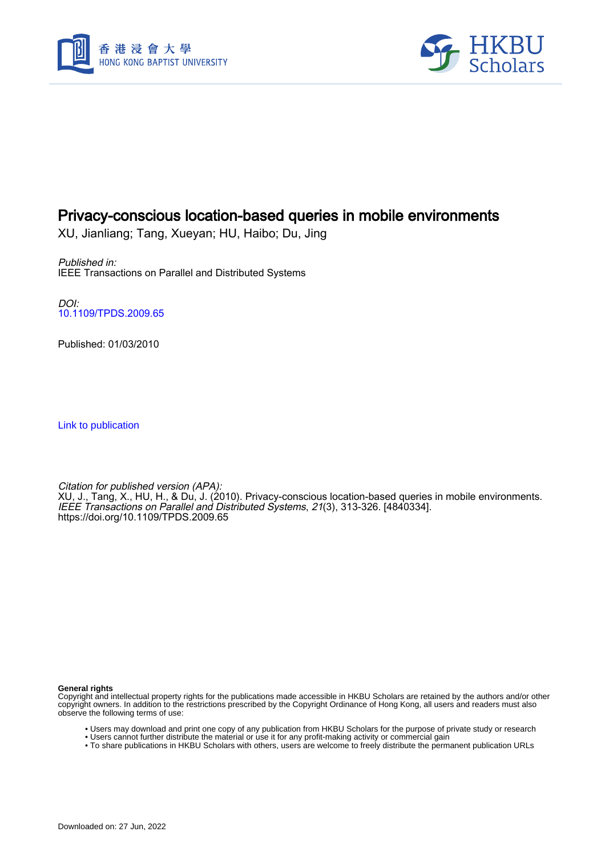



# Privacy-conscious location-based queries in mobile environments

XU, Jianliang; Tang, Xueyan; HU, Haibo; Du, Jing

Published in: IEEE Transactions on Parallel and Distributed Systems

DOI: [10.1109/TPDS.2009.65](https://doi.org/10.1109/TPDS.2009.65)

Published: 01/03/2010

[Link to publication](https://scholars.hkbu.edu.hk/en/publications/c8aaba1e-40b2-4a82-a58a-397a7851636f)

Citation for published version (APA): XU, J., Tang, X., HU, H., & Du, J. (2010). Privacy-conscious location-based queries in mobile environments. IEEE Transactions on Parallel and Distributed Systems, 21(3), 313-326. [4840334]. <https://doi.org/10.1109/TPDS.2009.65>

**General rights**

Copyright and intellectual property rights for the publications made accessible in HKBU Scholars are retained by the authors and/or other copyright owners. In addition to the restrictions prescribed by the Copyright Ordinance of Hong Kong, all users and readers must also observe the following terms of use:

- Users may download and print one copy of any publication from HKBU Scholars for the purpose of private study or research
- Users cannot further distribute the material or use it for any profit-making activity or commercial gain
- To share publications in HKBU Scholars with others, users are welcome to freely distribute the permanent publication URLs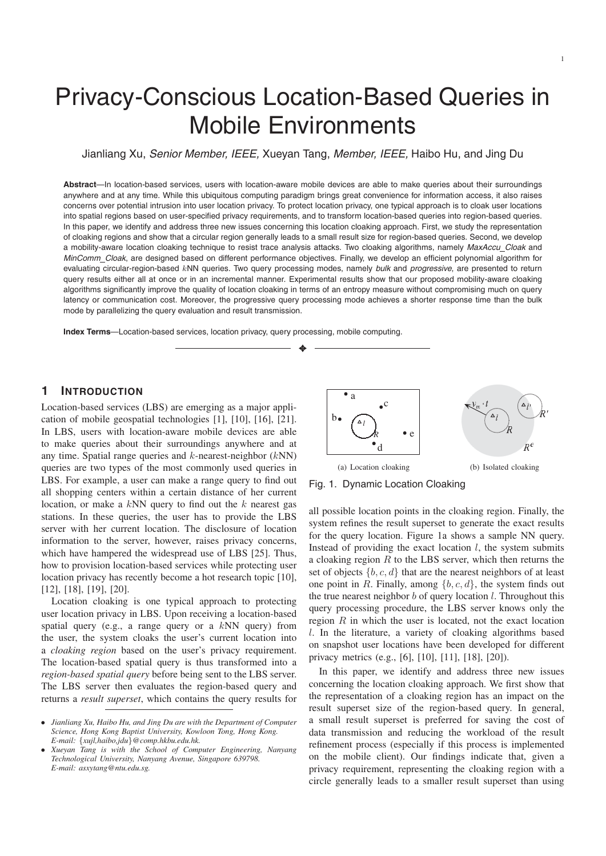# Privacy-Conscious Location-Based Queries in Mobile Environments

Jianliang Xu, *Senior Member, IEEE,* Xueyan Tang, *Member, IEEE,* Haibo Hu, and Jing Du

**Abstract**—In location-based services, users with location-aware mobile devices are able to make queries about their surroundings anywhere and at any time. While this ubiquitous computing paradigm brings great convenience for information access, it also raises concerns over potential intrusion into user location privacy. To protect location privacy, one typical approach is to cloak user locations into spatial regions based on user-specified privacy requirements, and to transform location-based queries into region-based queries. In this paper, we identify and address three new issues concerning this location cloaking approach. First, we study the representation of cloaking regions and show that a circular region generally leads to a small result size for region-based queries. Second, we develop a mobility-aware location cloaking technique to resist trace analysis attacks. Two cloaking algorithms, namely *MaxAccu Cloak* and *MinComm Cloak*, are designed based on different performance objectives. Finally, we develop an efficient polynomial algorithm for evaluating circular-region-based kNN queries. Two query processing modes, namely *bulk* and *progressive*, are presented to return query results either all at once or in an incremental manner. Experimental results show that our proposed mobility-aware cloaking algorithms significantly improve the quality of location cloaking in terms of an entropy measure without compromising much on query latency or communication cost. Moreover, the progressive query processing mode achieves a shorter response time than the bulk mode by parallelizing the query evaluation and result transmission.

✦

**Index Terms**—Location-based services, location privacy, query processing, mobile computing.

## **1 INTRODUCTION**

Location-based services (LBS) are emerging as a major application of mobile geospatial technologies [1], [10], [16], [21]. In LBS, users with location-aware mobile devices are able to make queries about their surroundings anywhere and at any time. Spatial range queries and  $k$ -nearest-neighbor  $(kNN)$ queries are two types of the most commonly used queries in LBS. For example, a user can make a range query to find out all shopping centers within a certain distance of her current location, or make a  $kNN$  query to find out the  $k$  nearest gas stations. In these queries, the user has to provide the LBS server with her current location. The disclosure of location information to the server, however, raises privacy concerns, which have hampered the widespread use of LBS [25]. Thus, how to provision location-based services while protecting user location privacy has recently become a hot research topic [10], [12], [18], [19], [20].

Location cloaking is one typical approach to protecting user location privacy in LBS. Upon receiving a location-based spatial query (e.g., a range query or a  $kNN$  query) from the user, the system cloaks the user's current location into a *cloaking region* based on the user's privacy requirement. The location-based spatial query is thus transformed into a *region-based spatial query* before being sent to the LBS server. The LBS server then evaluates the region-based query and returns a *result superset*, which contains the query results for



Fig. 1. Dynamic Location Cloaking

all possible location points in the cloaking region. Finally, the system refines the result superset to generate the exact results for the query location. Figure 1a shows a sample NN query. Instead of providing the exact location  $l$ , the system submits a cloaking region  $R$  to the LBS server, which then returns the set of objects  $\{b, c, d\}$  that are the nearest neighbors of at least one point in R. Finally, among  $\{b, c, d\}$ , the system finds out the true nearest neighbor  $b$  of query location  $l$ . Throughout this query processing procedure, the LBS server knows only the region  $R$  in which the user is located, not the exact location l. In the literature, a variety of cloaking algorithms based on snapshot user locations have been developed for different privacy metrics (e.g., [6], [10], [11], [18], [20]).

In this paper, we identify and address three new issues concerning the location cloaking approach. We first show that the representation of a cloaking region has an impact on the result superset size of the region-based query. In general, a small result superset is preferred for saving the cost of data transmission and reducing the workload of the result refinement process (especially if this process is implemented on the mobile client). Our findings indicate that, given a privacy requirement, representing the cloaking region with a circle generally leads to a smaller result superset than using

<sup>•</sup> *Jianliang Xu, Haibo Hu, and Jing Du are with the Department of Computer Science, Hong Kong Baptist University, Kowloon Tong, Hong Kong. E-mail:* {*xujl,haibo,jdu*}*@comp.hkbu.edu.hk.*

<sup>•</sup> *Xueyan Tang is with the School of Computer Engineering, Nanyang Technological University, Nanyang Avenue, Singapore 639798. E-mail: asxytang@ntu.edu.sg.*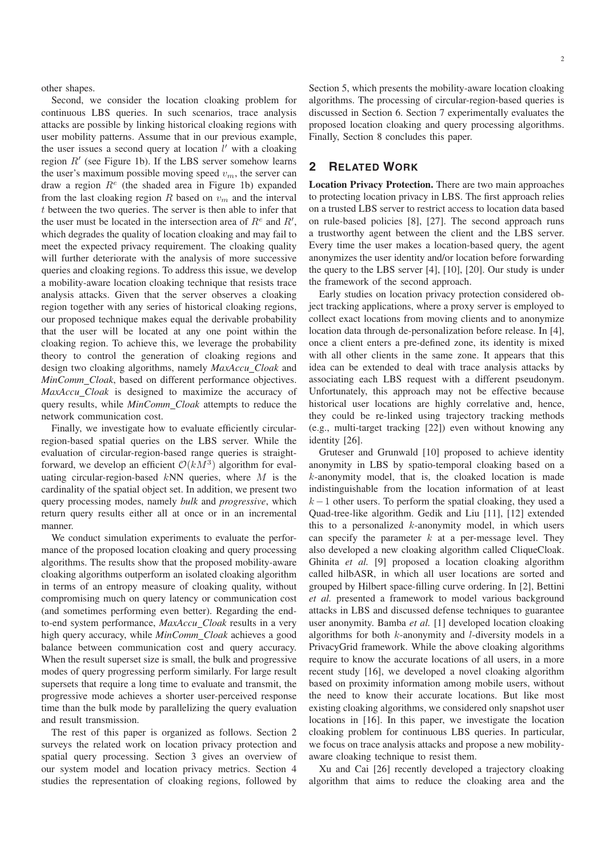other shapes.

Second, we consider the location cloaking problem for continuous LBS queries. In such scenarios, trace analysis attacks are possible by linking historical cloaking regions with user mobility patterns. Assume that in our previous example, the user issues a second query at location  $l'$  with a cloaking region  $R'$  (see Figure 1b). If the LBS server somehow learns the user's maximum possible moving speed  $v<sub>m</sub>$ , the server can draw a region  $R^e$  (the shaded area in Figure 1b) expanded from the last cloaking region  $R$  based on  $v_m$  and the interval t between the two queries. The server is then able to infer that the user must be located in the intersection area of  $R^e$  and  $R^{\prime}$ , which degrades the quality of location cloaking and may fail to meet the expected privacy requirement. The cloaking quality will further deteriorate with the analysis of more successive queries and cloaking regions. To address this issue, we develop a mobility-aware location cloaking technique that resists trace analysis attacks. Given that the server observes a cloaking region together with any series of historical cloaking regions, our proposed technique makes equal the derivable probability that the user will be located at any one point within the cloaking region. To achieve this, we leverage the probability theory to control the generation of cloaking regions and design two cloaking algorithms, namely *MaxAccu Cloak* and *MinComm Cloak*, based on different performance objectives. *MaxAccu Cloak* is designed to maximize the accuracy of query results, while *MinComm Cloak* attempts to reduce the network communication cost.

Finally, we investigate how to evaluate efficiently circularregion-based spatial queries on the LBS server. While the evaluation of circular-region-based range queries is straightforward, we develop an efficient  $O(kM^3)$  algorithm for evaluating circular-region-based  $kNN$  queries, where M is the cardinality of the spatial object set. In addition, we present two query processing modes, namely *bulk* and *progressive*, which return query results either all at once or in an incremental manner.

We conduct simulation experiments to evaluate the performance of the proposed location cloaking and query processing algorithms. The results show that the proposed mobility-aware cloaking algorithms outperform an isolated cloaking algorithm in terms of an entropy measure of cloaking quality, without compromising much on query latency or communication cost (and sometimes performing even better). Regarding the endto-end system performance, *MaxAccu Cloak* results in a very high query accuracy, while *MinComm Cloak* achieves a good balance between communication cost and query accuracy. When the result superset size is small, the bulk and progressive modes of query progressing perform similarly. For large result supersets that require a long time to evaluate and transmit, the progressive mode achieves a shorter user-perceived response time than the bulk mode by parallelizing the query evaluation and result transmission.

The rest of this paper is organized as follows. Section 2 surveys the related work on location privacy protection and spatial query processing. Section 3 gives an overview of our system model and location privacy metrics. Section 4 studies the representation of cloaking regions, followed by

Section 5, which presents the mobility-aware location cloaking algorithms. The processing of circular-region-based queries is discussed in Section 6. Section 7 experimentally evaluates the proposed location cloaking and query processing algorithms. Finally, Section 8 concludes this paper.

## **2 RELATED WORK**

**Location Privacy Protection.** There are two main approaches to protecting location privacy in LBS. The first approach relies on a trusted LBS server to restrict access to location data based on rule-based policies [8], [27]. The second approach runs a trustworthy agent between the client and the LBS server. Every time the user makes a location-based query, the agent anonymizes the user identity and/or location before forwarding the query to the LBS server [4], [10], [20]. Our study is under the framework of the second approach.

Early studies on location privacy protection considered object tracking applications, where a proxy server is employed to collect exact locations from moving clients and to anonymize location data through de-personalization before release. In [4], once a client enters a pre-defined zone, its identity is mixed with all other clients in the same zone. It appears that this idea can be extended to deal with trace analysis attacks by associating each LBS request with a different pseudonym. Unfortunately, this approach may not be effective because historical user locations are highly correlative and, hence, they could be re-linked using trajectory tracking methods (e.g., multi-target tracking [22]) even without knowing any identity [26].

Gruteser and Grunwald [10] proposed to achieve identity anonymity in LBS by spatio-temporal cloaking based on a  $k$ -anonymity model, that is, the cloaked location is made indistinguishable from the location information of at least  $k-1$  other users. To perform the spatial cloaking, they used a Quad-tree-like algorithm. Gedik and Liu [11], [12] extended this to a personalized  $k$ -anonymity model, in which users can specify the parameter  $k$  at a per-message level. They also developed a new cloaking algorithm called CliqueCloak. Ghinita *et al.* [9] proposed a location cloaking algorithm called hilbASR, in which all user locations are sorted and grouped by Hilbert space-filling curve ordering. In [2], Bettini *et al.* presented a framework to model various background attacks in LBS and discussed defense techniques to guarantee user anonymity. Bamba *et al.* [1] developed location cloaking algorithms for both k-anonymity and l-diversity models in a PrivacyGrid framework. While the above cloaking algorithms require to know the accurate locations of all users, in a more recent study [16], we developed a novel cloaking algorithm based on proximity information among mobile users, without the need to know their accurate locations. But like most existing cloaking algorithms, we considered only snapshot user locations in [16]. In this paper, we investigate the location cloaking problem for continuous LBS queries. In particular, we focus on trace analysis attacks and propose a new mobilityaware cloaking technique to resist them.

Xu and Cai [26] recently developed a trajectory cloaking algorithm that aims to reduce the cloaking area and the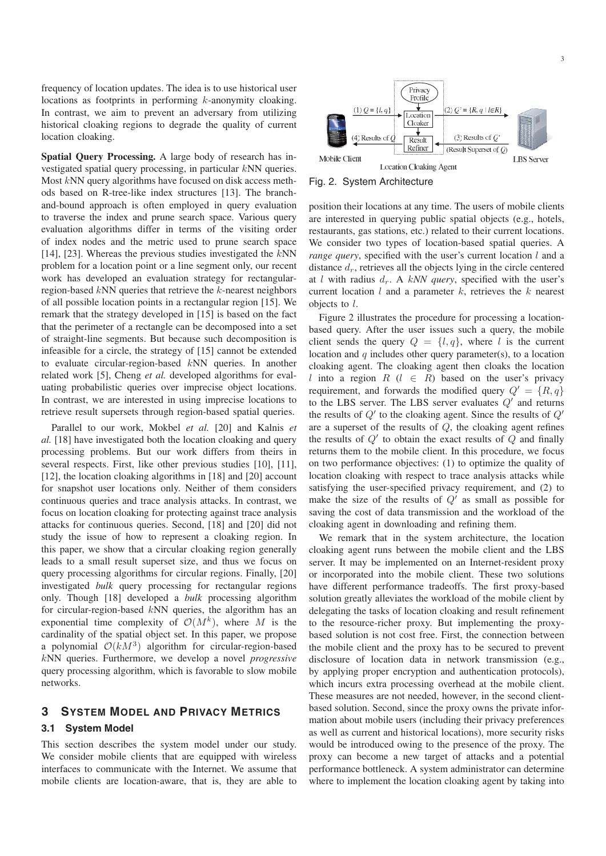frequency of location updates. The idea is to use historical user locations as footprints in performing k-anonymity cloaking. In contrast, we aim to prevent an adversary from utilizing historical cloaking regions to degrade the quality of current location cloaking.

**Spatial Query Processing.** A large body of research has investigated spatial query processing, in particular kNN queries. Most kNN query algorithms have focused on disk access methods based on R-tree-like index structures [13]. The branchand-bound approach is often employed in query evaluation to traverse the index and prune search space. Various query evaluation algorithms differ in terms of the visiting order of index nodes and the metric used to prune search space [14], [23]. Whereas the previous studies investigated the  $kNN$ problem for a location point or a line segment only, our recent work has developed an evaluation strategy for rectangularregion-based  $kNN$  queries that retrieve the  $k$ -nearest neighbors of all possible location points in a rectangular region [15]. We remark that the strategy developed in [15] is based on the fact that the perimeter of a rectangle can be decomposed into a set of straight-line segments. But because such decomposition is infeasible for a circle, the strategy of [15] cannot be extended to evaluate circular-region-based kNN queries. In another related work [5], Cheng *et al.* developed algorithms for evaluating probabilistic queries over imprecise object locations. In contrast, we are interested in using imprecise locations to retrieve result supersets through region-based spatial queries.

Parallel to our work, Mokbel *et al.* [20] and Kalnis *et al.* [18] have investigated both the location cloaking and query processing problems. But our work differs from theirs in several respects. First, like other previous studies [10], [11], [12], the location cloaking algorithms in [18] and [20] account for snapshot user locations only. Neither of them considers continuous queries and trace analysis attacks. In contrast, we focus on location cloaking for protecting against trace analysis attacks for continuous queries. Second, [18] and [20] did not study the issue of how to represent a cloaking region. In this paper, we show that a circular cloaking region generally leads to a small result superset size, and thus we focus on query processing algorithms for circular regions. Finally, [20] investigated *bulk* query processing for rectangular regions only. Though [18] developed a *bulk* processing algorithm for circular-region-based kNN queries, the algorithm has an exponential time complexity of  $\mathcal{O}(M^k)$ , where M is the cardinality of the spatial object set. In this paper, we propose a polynomial  $O(kM^3)$  algorithm for circular-region-based kNN queries. Furthermore, we develop a novel *progressive* query processing algorithm, which is favorable to slow mobile networks.

## **3 SYSTEM MODEL AND PRIVACY METRICS**

## **3.1 System Model**

This section describes the system model under our study. We consider mobile clients that are equipped with wireless interfaces to communicate with the Internet. We assume that mobile clients are location-aware, that is, they are able to



Fig. 2. System Architecture

position their locations at any time. The users of mobile clients are interested in querying public spatial objects (e.g., hotels, restaurants, gas stations, etc.) related to their current locations. We consider two types of location-based spatial queries. A *range query*, specified with the user's current location l and a distance  $d_r$ , retrieves all the objects lying in the circle centered at *l* with radius  $d_r$ . A kNN query, specified with the user's current location  $l$  and a parameter  $k$ , retrieves the  $k$  nearest objects to l.

Figure 2 illustrates the procedure for processing a locationbased query. After the user issues such a query, the mobile client sends the query  $Q = \{l, q\}$ , where l is the current location and  $q$  includes other query parameter(s), to a location cloaking agent. The cloaking agent then cloaks the location l into a region  $R$  ( $l \in R$ ) based on the user's privacy requirement, and forwards the modified query  $Q' = \{R, q\}$ to the LBS server. The LBS server evaluates  $Q'$  and returns the results of  $Q'$  to the cloaking agent. Since the results of  $Q'$ are a superset of the results of Q, the cloaking agent refines the results of  $Q'$  to obtain the exact results of  $Q$  and finally returns them to the mobile client. In this procedure, we focus on two performance objectives: (1) to optimize the quality of location cloaking with respect to trace analysis attacks while satisfying the user-specified privacy requirement, and (2) to make the size of the results of  $Q'$  as small as possible for saving the cost of data transmission and the workload of the cloaking agent in downloading and refining them.

We remark that in the system architecture, the location cloaking agent runs between the mobile client and the LBS server. It may be implemented on an Internet-resident proxy or incorporated into the mobile client. These two solutions have different performance tradeoffs. The first proxy-based solution greatly alleviates the workload of the mobile client by delegating the tasks of location cloaking and result refinement to the resource-richer proxy. But implementing the proxybased solution is not cost free. First, the connection between the mobile client and the proxy has to be secured to prevent disclosure of location data in network transmission (e.g., by applying proper encryption and authentication protocols), which incurs extra processing overhead at the mobile client. These measures are not needed, however, in the second clientbased solution. Second, since the proxy owns the private information about mobile users (including their privacy preferences as well as current and historical locations), more security risks would be introduced owing to the presence of the proxy. The proxy can become a new target of attacks and a potential performance bottleneck. A system administrator can determine where to implement the location cloaking agent by taking into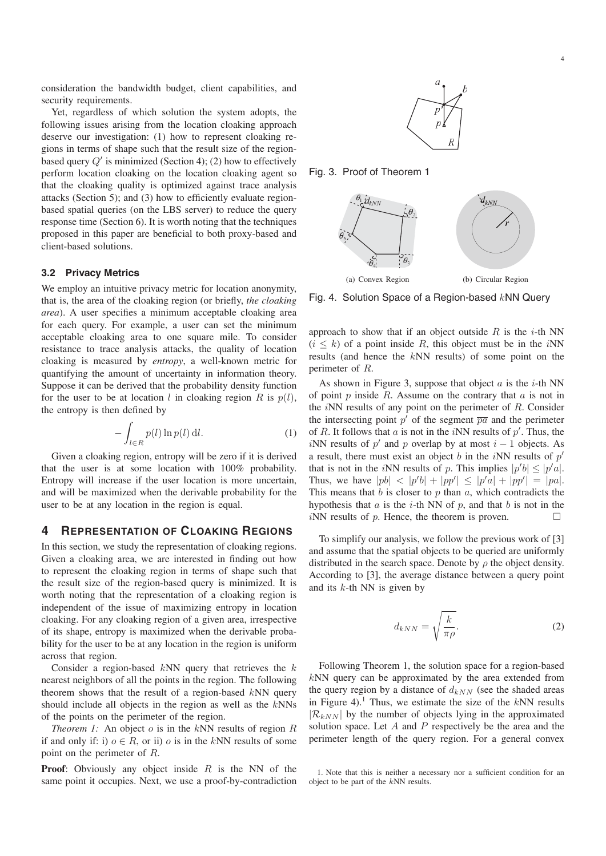consideration the bandwidth budget, client capabilities, and security requirements.

Yet, regardless of which solution the system adopts, the following issues arising from the location cloaking approach deserve our investigation: (1) how to represent cloaking regions in terms of shape such that the result size of the regionbased query  $Q'$  is minimized (Section 4); (2) how to effectively perform location cloaking on the location cloaking agent so that the cloaking quality is optimized against trace analysis attacks (Section 5); and (3) how to efficiently evaluate regionbased spatial queries (on the LBS server) to reduce the query response time (Section 6). It is worth noting that the techniques proposed in this paper are beneficial to both proxy-based and client-based solutions.

#### **3.2 Privacy Metrics**

We employ an intuitive privacy metric for location anonymity, that is, the area of the cloaking region (or briefly, *the cloaking area*). A user specifies a minimum acceptable cloaking area for each query. For example, a user can set the minimum acceptable cloaking area to one square mile. To consider resistance to trace analysis attacks, the quality of location cloaking is measured by *entropy*, a well-known metric for quantifying the amount of uncertainty in information theory. Suppose it can be derived that the probability density function for the user to be at location l in cloaking region R is  $p(l)$ , the entropy is then defined by

$$
-\int_{l\in R} p(l)\ln p(l)\,\mathrm{d}l.\tag{1}
$$

Given a cloaking region, entropy will be zero if it is derived that the user is at some location with 100% probability. Entropy will increase if the user location is more uncertain, and will be maximized when the derivable probability for the user to be at any location in the region is equal.

### **4 REPRESENTATION OF CLOAKING REGIONS**

In this section, we study the representation of cloaking regions. Given a cloaking area, we are interested in finding out how to represent the cloaking region in terms of shape such that the result size of the region-based query is minimized. It is worth noting that the representation of a cloaking region is independent of the issue of maximizing entropy in location cloaking. For any cloaking region of a given area, irrespective of its shape, entropy is maximized when the derivable probability for the user to be at any location in the region is uniform across that region.

Consider a region-based  $kNN$  query that retrieves the  $k$ nearest neighbors of all the points in the region. The following theorem shows that the result of a region-based  $kNN$  query should include all objects in the region as well as the kNNs of the points on the perimeter of the region.

*Theorem 1:* An object  $o$  is in the  $kNN$  results of region  $R$ if and only if: i)  $o \in R$ , or ii) *o* is in the kNN results of some point on the perimeter of R.

**Proof:** Obviously any object inside R is the NN of the same point it occupies. Next, we use a proof-by-contradiction



Fig. 3. Proof of Theorem 1



Fig. 4. Solution Space of a Region-based  $kNN$  Query

approach to show that if an object outside  $R$  is the *i*-th NN  $(i \leq k)$  of a point inside R, this object must be in the *i*NN results (and hence the kNN results) of some point on the perimeter of R.

As shown in Figure 3, suppose that object  $a$  is the  $i$ -th NN of point  $p$  inside  $R$ . Assume on the contrary that  $a$  is not in the  $iNN$  results of any point on the perimeter of  $R$ . Consider the intersecting point  $p'$  of the segment  $\overline{pa}$  and the perimeter of R. It follows that a is not in the iNN results of  $p'$ . Thus, the iNN results of p' and p overlap by at most  $i - 1$  objects. As a result, there must exist an object b in the iNN results of  $p'$ that is not in the *iNN* results of p. This implies  $|p'b| \leq |p'a|$ . Thus, we have  $|pb| < |p'b| + |pp'| \le |p'a| + |pp'| = |pa|$ . This means that  $b$  is closer to  $p$  than  $a$ , which contradicts the hypothesis that  $a$  is the  $i$ -th NN of  $p$ , and that  $b$  is not in the  $iNN$  results of  $p$ . Hence, the theorem is proven.

To simplify our analysis, we follow the previous work of [3] and assume that the spatial objects to be queried are uniformly distributed in the search space. Denote by  $\rho$  the object density. According to [3], the average distance between a query point and its  $k$ -th NN is given by

$$
d_{kNN} = \sqrt{\frac{k}{\pi \rho}}.\t(2)
$$

Following Theorem 1, the solution space for a region-based kNN query can be approximated by the area extended from the query region by a distance of  $d_{kNN}$  (see the shaded areas in Figure 4).<sup>1</sup> Thus, we estimate the size of the  $kNN$  results  $|\mathcal{R}_{kNN}|$  by the number of objects lying in the approximated solution space. Let  $A$  and  $P$  respectively be the area and the perimeter length of the query region. For a general convex

<sup>1.</sup> Note that this is neither a necessary nor a sufficient condition for an object to be part of the kNN results.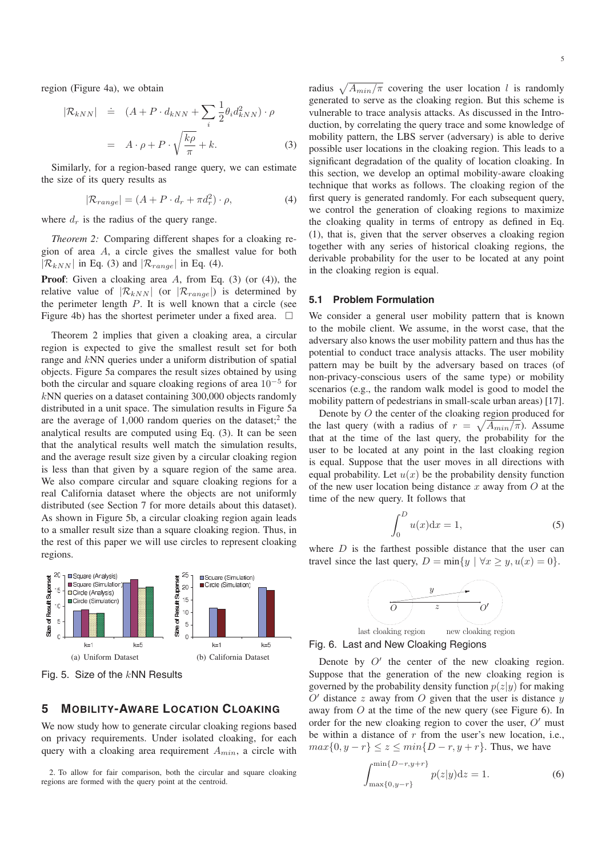region (Figure 4a), we obtain

$$
|\mathcal{R}_{kNN}| = (A + P \cdot d_{kNN} + \sum_{i} \frac{1}{2} \theta_i d_{kNN}^2) \cdot \rho
$$

$$
= A \cdot \rho + P \cdot \sqrt{\frac{k\rho}{\pi}} + k. \tag{3}
$$

Similarly, for a region-based range query, we can estimate the size of its query results as

$$
|\mathcal{R}_{range}| = (A + P \cdot d_r + \pi d_r^2) \cdot \rho,
$$
 (4)

where  $d_r$  is the radius of the query range.

*Theorem 2:* Comparing different shapes for a cloaking region of area A, a circle gives the smallest value for both  $|\mathcal{R}_{kNN}|$  in Eq. (3) and  $|\mathcal{R}_{range}|$  in Eq. (4).

**Proof**: Given a cloaking area A, from Eq. (3) (or (4)), the relative value of  $|\mathcal{R}_{kNN}|$  (or  $|\mathcal{R}_{range}|$ ) is determined by the perimeter length  $P$ . It is well known that a circle (see Figure 4b) has the shortest perimeter under a fixed area.  $\Box$ 

Theorem 2 implies that given a cloaking area, a circular region is expected to give the smallest result set for both range and kNN queries under a uniform distribution of spatial objects. Figure 5a compares the result sizes obtained by using both the circular and square cloaking regions of area  $10^{-5}$  for kNN queries on a dataset containing 300,000 objects randomly distributed in a unit space. The simulation results in Figure 5a are the average of  $1,000$  random queries on the dataset;<sup>2</sup> the analytical results are computed using Eq. (3). It can be seen that the analytical results well match the simulation results, and the average result size given by a circular cloaking region is less than that given by a square region of the same area. We also compare circular and square cloaking regions for a real California dataset where the objects are not uniformly distributed (see Section 7 for more details about this dataset). As shown in Figure 5b, a circular cloaking region again leads to a smaller result size than a square cloaking region. Thus, in the rest of this paper we will use circles to represent cloaking regions.



Fig. 5. Size of the  $kNN$  Results

## **5 MOBILITY-AWARE LOCATION CLOAKING**

We now study how to generate circular cloaking regions based on privacy requirements. Under isolated cloaking, for each query with a cloaking area requirement  $A_{min}$ , a circle with

2. To allow for fair comparison, both the circular and square cloaking regions are formed with the query point at the centroid.

radius  $\sqrt{A_{min}/\pi}$  covering the user location l is randomly generated to serve as the cloaking region. But this scheme is vulnerable to trace analysis attacks. As discussed in the Introduction, by correlating the query trace and some knowledge of mobility pattern, the LBS server (adversary) is able to derive possible user locations in the cloaking region. This leads to a significant degradation of the quality of location cloaking. In this section, we develop an optimal mobility-aware cloaking technique that works as follows. The cloaking region of the first query is generated randomly. For each subsequent query, we control the generation of cloaking regions to maximize the cloaking quality in terms of entropy as defined in Eq. (1), that is, given that the server observes a cloaking region together with any series of historical cloaking regions, the derivable probability for the user to be located at any point in the cloaking region is equal.

#### **5.1 Problem Formulation**

We consider a general user mobility pattern that is known to the mobile client. We assume, in the worst case, that the adversary also knows the user mobility pattern and thus has the potential to conduct trace analysis attacks. The user mobility pattern may be built by the adversary based on traces (of non-privacy-conscious users of the same type) or mobility scenarios (e.g., the random walk model is good to model the mobility pattern of pedestrians in small-scale urban areas) [17].

Denote by O the center of the cloaking region produced for the last query (with a radius of  $r = \sqrt{A_{min}/\pi}$ ). Assume that at the time of the last query, the probability for the user to be located at any point in the last cloaking region is equal. Suppose that the user moves in all directions with equal probability. Let  $u(x)$  be the probability density function of the new user location being distance x away from  $O$  at the time of the new query. It follows that

$$
\int_0^D u(x) \mathrm{d}x = 1,\tag{5}
$$

where  $D$  is the farthest possible distance that the user can travel since the last query,  $D = \min\{y \mid \forall x \geq y, u(x) = 0\}.$ 



Fig. 6. Last and New Cloaking Regions

Denote by  $O'$  the center of the new cloaking region. Suppose that the generation of the new cloaking region is governed by the probability density function  $p(z|y)$  for making  $O'$  distance z away from O given that the user is distance y away from O at the time of the new query (see Figure 6). In order for the new cloaking region to cover the user,  $O'$  must be within a distance of  $r$  from the user's new location, i.e.,  $max{0, y - r} \le z \le min{D - r, y + r}.$  Thus, we have

$$
\int_{\max\{0,y-r\}}^{\min\{D-r,y+r\}} p(z|y)dz = 1.
$$
 (6)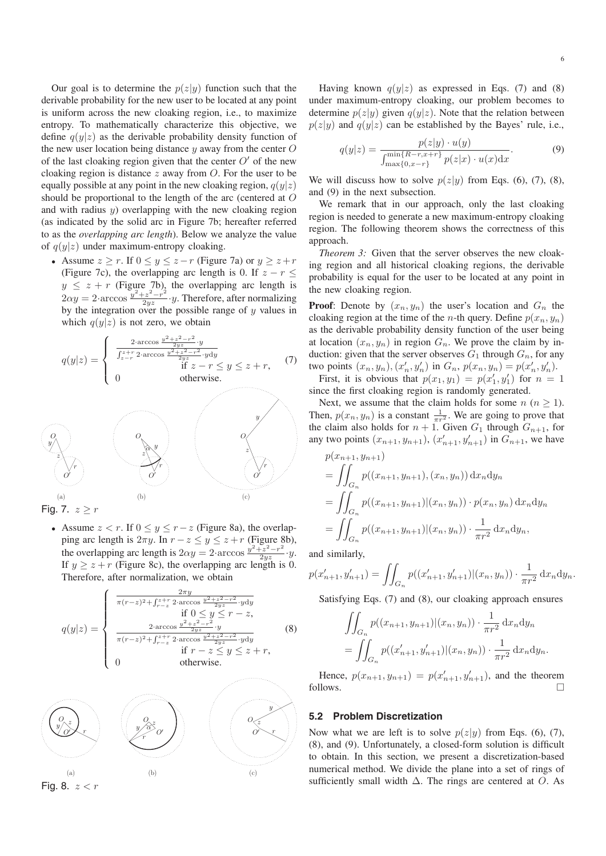Our goal is to determine the  $p(z|y)$  function such that the derivable probability for the new user to be located at any point is uniform across the new cloaking region, i.e., to maximize entropy. To mathematically characterize this objective, we define  $q(y|z)$  as the derivable probability density function of the new user location being distance  $y$  away from the center  $O$ of the last cloaking region given that the center  $O'$  of the new cloaking region is distance  $z$  away from  $\ddot{O}$ . For the user to be equally possible at any point in the new cloaking region,  $q(y|z)$ should be proportional to the length of the arc (centered at O and with radius  $y$ ) overlapping with the new cloaking region (as indicated by the solid arc in Figure 7b; hereafter referred to as the *overlapping arc length*). Below we analyze the value of  $q(y|z)$  under maximum-entropy cloaking.

• Assume  $z \ge r$ . If  $0 \le y \le z - r$  (Figure 7a) or  $y \ge z + r$ (Figure 7c), the overlapping arc length is 0. If  $z - r <$  $y \le z + r$  (Figure 7b), the overlapping arc length is  $2\alpha y = 2$  arccos  $\frac{y^2 + z^2 - r^2}{2yz} \cdot y$ . Therefore, after normalizing by the integration over the possible range of y values in which  $q(y|z)$  is not zero, we obtain

$$
q(y|z) = \begin{cases} \frac{2 \cdot \arccos \frac{y^2 + z^2 - r^2}{2yz} \cdot y}{\frac{y^2 + z^2 - r^2}{2yz} \cdot y \, dy} \\ 0 & \text{if } z - r \le y \le z + r, \end{cases} (7)
$$
otherwise. (7)

 $\binom{m}{k}$  (b) (c) Fig. 7.  $z \geq r$ 

• Assume  $z < r$ . If  $0 \le y \le r-z$  (Figure 8a), the overlapping arc length is  $2\pi y$ . In  $r - z \le y \le z + r$  (Figure 8b), the overlapping arc length is  $2\alpha y = 2$ ·arccos  $\frac{y^2+z^2-r^2}{2yz} \cdot y$ .<br>If  $y \ge z + r$  (Figure 8c), the overlapping arc length is 0. Therefore, after normalization, we obtain

$$
q(y|z) = \begin{cases} \frac{2\pi y}{\pi(r-z)^2 + \int_{r-z}^{z+2} 2\arccos \frac{y^2+z^2-r^2}{2yz} \cdot y dy} & \text{Satisfying Eqs. (7) and (8), our closing approach ensures if  $0 \le y \le r - z$ ,  
\n
$$
\frac{2\arccos \frac{y^2+z^2-r^2}{2yz}}{\pi(r-z)^2 + \int_{r-z}^{z+2} 2\arccos \frac{y^2+z^2-r^2}{2yz} \cdot y dy} & (8) & \iint_{G_n} p((x_{n+1}, y_{n+1})|(x_n, y_n)) \cdot \frac{1}{\pi r^2} dx_n dy_n
$$
\n
$$
\text{there, } p(x_{n+1}, y_{n+1}) = p(x'_{n+1}, y'_{n+1}), \text{ and the theorem follows.}\n
$$
\text{Hence, } p(x_{n+1}, y_{n+1}) = p(x'_{n+1}, y'_{n+1}), \text{ and the theorem follows.}\n
$$
\text{Hence, } p(x_{n+1}, y_{n+1}) = p(x'_{n+1}, y'_{n+1}), \text{ and the theorem follows.}\n
$$
\text{Ience, } p(x_{n+1}, y_{n+1}) = p(x'_{n+1}, y'_{n+1}), \text{ and the theorem follows.}\n
$$
\text{Ience, } p(x_{n+1}, y_{n+1}) = p(x'_{n+1}, y'_{n+1}), \text{ and the theorem follows.}\n
$$
\text{Ience, } p(x_{n+1}, y_{n+1}) = p(x'_{n+1}, y'_{n+1}), \text{ and the theorem follows.}\n
$$
\text{Ience, } p(x_{n+1}, y'_{n+1}) = p(x'_{n+1}, y'_{n+1}), \text{ and the theorem follows.}\n
$$
\text{Ience, } p(x_{n+1}, y'_{n+1}) = p(x'_{n+1}, y'_{n+1}), \text{ and the theorem of } p(x|y) \text{ from Eqs. (6), (7),}
$$
\n
$$
\text{Ience, } p(x|y) \text{ from Eqs. (6), (7),}
$$
\n
$$
\text{Ience, } p(x_{n+1}, y'_{n+1}) = p(x'_{n+1}, y'_{n+1}), \text{ and the theorem of
$$
$$
$$
$$
$$
$$
$$
$$
$$

6

Having known  $q(y|z)$  as expressed in Eqs. (7) and (8) under maximum-entropy cloaking, our problem becomes to determine  $p(z|y)$  given  $q(y|z)$ . Note that the relation between  $p(z|y)$  and  $q(y|z)$  can be established by the Bayes' rule, i.e.,

$$
q(y|z) = \frac{p(z|y) \cdot u(y)}{\int_{\max\{0, x-r\}}^{\min\{R-r, x+r\}} p(z|x) \cdot u(x) dx}.
$$
 (9)

We will discuss how to solve  $p(z|y)$  from Eqs. (6), (7), (8), and (9) in the next subsection.

We remark that in our approach, only the last cloaking region is needed to generate a new maximum-entropy cloaking region. The following theorem shows the correctness of this approach.

*Theorem 3:* Given that the server observes the new cloaking region and all historical cloaking regions, the derivable probability is equal for the user to be located at any point in the new cloaking region.

 $\frac{2 \cdot \arccos \frac{y^2 + z^2 - r^2}{2yz}}{2 \cdot z + r \cdot 2 - r^2}$  at location  $(x_n, y_n)$  in region  $G_n$ . We prove the claim by in-**Proof:** Denote by  $(x_n, y_n)$  the user's location and  $G_n$  the cloaking region at the time of the *n*-th query. Define  $p(x_n, y_n)$ as the derivable probability density function of the user being duction: given that the server observes  $G_1$  through  $G_n$ , for any two points  $(x_n, y_n), (x'_n, y'_n)$  in  $G_n$ ,  $p(x_n, y_n) = p(x'_n, y'_n)$ .<br>First it is obvious that  $p(x_n, y_n) = p(x'_n, y'_n)$  for  $n =$ 

First, it is obvious that  $p(x_1, y_1) = p(x'_1, y'_1)$  for  $n = 1$ since the first cloaking region is randomly generated.

Next, we assume that the claim holds for some  $n (n \geq 1)$ . Then,  $p(x_n, y_n)$  is a constant  $\frac{1}{\pi r^2}$ . We are going to prove that the claim also holds for  $n + 1$ . Given  $G_1$  through  $G_2$  is for the claim also holds for  $n + 1$ . Given  $G_1$  through  $G_{n+1}$ , for any two points  $(x_{n+1}, y_{n+1}), (x'_{n+1}, y'_{n+1})$  in  $G_{n+1}$ , we have

$$
p(x_{n+1}, y_{n+1})
$$
  
=  $\iint_{G_n} p((x_{n+1}, y_{n+1}), (x_n, y_n)) dx_n dy_n$   
=  $\iint_{G_n} p((x_{n+1}, y_{n+1})|(x_n, y_n)) \cdot p(x_n, y_n) dx_n dy_n$   
=  $\iint_{G_n} p((x_{n+1}, y_{n+1})|(x_n, y_n)) \cdot \frac{1}{\pi r^2} dx_n dy_n,$ 

and similarly,

$$
p(x'_{n+1}, y'_{n+1}) = \iint_{G_n} p((x'_{n+1}, y'_{n+1})|(x_n, y_n)) \cdot \frac{1}{\pi r^2} dx_n dy_n.
$$

$$
\frac{\text{if } 0 \le y \le r - z,}{\frac{2 \cdot \arccos \frac{y^2 + z^2 - r^2}{2yz} \cdot y}{\pi (r - z)^2 + \int_{r - z}^{z + r} 2 \cdot \arccos \frac{y^2 + z^2 - r^2}{2yz} \cdot y \, dy}}{\text{if } r - z \le y \le z + r}, \qquad (8) \qquad \qquad \iint_{G_n} p((x_{n+1}, y_{n+1})|(x_n, y_n)) \cdot \frac{1}{\pi r^2} \, dx_n \, dy_n.
$$
\n
$$
= \iint_{G_n} p((x'_{n+1}, y'_{n+1})|(x_n, y_n)) \cdot \frac{1}{\pi r^2} \, dx_n \, dy_n.
$$
\notherwise.

Hence,  $p(x_{n+1}, y_{n+1}) = p(x'_{n+1}, y'_{n+1})$ , and the theorem follows.  $\Box$ 

### **5.2 Problem Discretization**

Now what we are left is to solve  $p(z|y)$  from Eqs. (6), (7), (8), and (9). Unfortunately, a closed-form solution is difficult to obtain. In this section, we present a discretization-based numerical method. We divide the plane into a set of rings of sufficiently small width  $\Delta$ . The rings are centered at O. As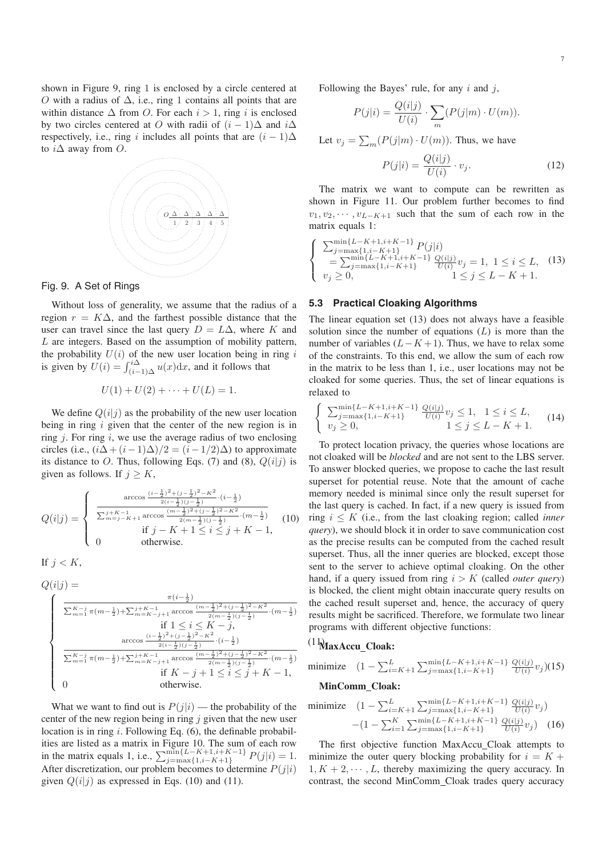shown in Figure 9, ring 1 is enclosed by a circle centered at O with a radius of  $\Delta$ , i.e., ring 1 contains all points that are within distance  $\Delta$  from O. For each  $i > 1$ , ring i is enclosed by two circles centered at O with radii of  $(i - 1)\Delta$  and  $i\Delta$ respectively, i.e., ring i includes all points that are  $(i - 1)\Delta$ to  $i\Delta$  away from  $O$ .



#### Fig. 9. A Set of Rings

Without loss of generality, we assume that the radius of a region  $r = K\Delta$ , and the farthest possible distance that the user can travel since the last query  $D = L\Delta$ , where K and L are integers. Based on the assumption of mobility pattern, the probability  $U(i)$  of the new user location being in ring i is given by  $U(i) = \int_{(i-1)\Delta}^{i\Delta} u(x) dx$ , and it follows that

$$
U(1) + U(2) + \cdots + U(L) = 1.
$$

We define  $Q(i|j)$  as the probability of the new user location being in ring  $i$  given that the center of the new region is in ring  $j$ . For ring  $i$ , we use the average radius of two enclosing circles (i.e.,  $(i\Delta + (i-1)\Delta)/2 = (i-1/2)\Delta)$  to approximate its distance to O. Thus, following Eqs. (7) and (8),  $Q(i|j)$  is given as follows. If  $j \geq K$ ,

$$
Q(i|j) = \begin{cases} \frac{\arccos \frac{(i-\frac{1}{2})^2 + (j-\frac{1}{2})^2 - K^2}{2(i-\frac{1}{2})(j-\frac{1}{2})}}{\sum_{m=j-K+1}^{j+K-1} \arccos \frac{(m-\frac{1}{2})^2 + (j-\frac{1}{2})^2 - K^2}{2(m-\frac{1}{2})(j-\frac{1}{2})} \cdot (m-\frac{1}{2})} \\ \text{if } j - K + 1 \le i \le j + K - 1, \\ 0 & \text{otherwise.} \end{cases} (10)
$$

If  $i < K$ .

$$
\label{eq:Q} \begin{aligned} Q(i|j) &= \\ \begin{cases} \frac{\pi(i-\frac{1}{2})}{\sum_{m=1}^{K-j}\pi(m-\frac{1}{2})+\sum_{m=K-j+1}^{j+K-1}\arccos{\frac{(m-\frac{1}{2})^2+(j-\frac{1}{2})^2-K^2}{2(m-\frac{1}{2})(j-\frac{1}{2})}}\cdot(m-\frac{1}{2})} \\ &\quad \text{if } 1\leq i\leq K-j, \\ \arccos{\frac{(i-\frac{1}{2})^2+(j-\frac{1}{2})^2-K^2}{2(i-\frac{1}{2})(j-\frac{1}{2})}}\cdot(i-\frac{1}{2}) \\ \sum_{m=1}^{K-j}\pi(m-\frac{1}{2})+\sum_{m=K-j+1}^{j+K-1}\arccos{\frac{(m-\frac{1}{2})^2+(j-\frac{1}{2})^2-K^2}{2(m-\frac{1}{2})(j-\frac{1}{2})}}\cdot(m-\frac{1}{2}) \\ &\quad \text{if } K-j+1\leq i\leq j+K-1, \\ 0 &\quad \text{otherwise}. \end{cases} \end{aligned}
$$

What we want to find out is  $P(j|i)$  — the probability of the center of the new region being in ring  $j$  given that the new user location is in ring  $i$ . Following Eq.  $(6)$ , the definable probabilities are listed as a matrix in Figure 10. The sum of each row in the matrix equals 1, i.e.,  $\sum_{j=\max\{1,i-K+1\}}^{\min\{L-K+1,i+K-1\}} P(j|i) = 1.$  After discretization, our problem becomes to determine  $P(j|i)$ After discretization, our problem becomes to determine  $P(j|i)$ given  $Q(i|j)$  as expressed in Eqs. (10) and (11).

Following the Bayes' rule, for any  $i$  and  $j$ ,

$$
P(j|i) = \frac{Q(i|j)}{U(i)} \cdot \sum_{m} (P(j|m) \cdot U(m)).
$$

Let  $v_j = \sum_m (P(j|m) \cdot U(m))$ . Thus, we have

$$
P(j|i) = \frac{Q(i|j)}{U(i)} \cdot v_j.
$$
\n(12)

The matrix we want to compute can be rewritten as shown in Figure 11. Our problem further becomes to find  $v_1, v_2, \cdots, v_{L-K+1}$  such that the sum of each row in the matrix equals 1:

$$
\begin{cases}\n\sum_{j=\max\{1,i-K+1\}}^{\min\{L-K+1,i+K-1\}} P(j|i) \\
= \sum_{j=\max\{1,i-K+1\}}^{\min\{L-K+1\}} \frac{Q(i|j)}{U(i)} v_j = 1, \ 1 \le i \le L, \quad (13) \\
v_j \ge 0, \qquad 1 \le j \le L-K+1.\n\end{cases}
$$

#### **5.3 Practical Cloaking Algorithms**

The linear equation set (13) does not always have a feasible solution since the number of equations  $(L)$  is more than the number of variables  $(L - K + 1)$ . Thus, we have to relax some of the constraints. To this end, we allow the sum of each row in the matrix to be less than 1, i.e., user locations may not be cloaked for some queries. Thus, the set of linear equations is relaxed to

$$
\begin{cases} \sum_{j=\max\{1,i-K+1\}}^{\min\{L-K+1,i+K-1\}} \frac{Q(i|j)}{U(i)} v_j \le 1, & 1 \le i \le L, \\ v_j \ge 0, & 1 \le j \le L-K+1. \end{cases}
$$
 (14)

To protect location privacy, the queries whose locations are not cloaked will be *blocked* and are not sent to the LBS server. To answer blocked queries, we propose to cache the last result superset for potential reuse. Note that the amount of cache memory needed is minimal since only the result superset for the last query is cached. In fact, if a new query is issued from ring i ≤ K (i.e., from the last cloaking region; called *inner query*), we should block it in order to save communication cost as the precise results can be computed from the cached result superset. Thus, all the inner queries are blocked, except those sent to the server to achieve optimal cloaking. On the other hand, if a query issued from ring  $i > K$  (called *outer query*) is blocked, the client might obtain inaccurate query results on the cached result superset and, hence, the accuracy of query results might be sacrificed. Therefore, we formulate two linear programs with different objective functions:

## (11) **MaxAccu Cloak:**

minimize 
$$
(1 - \sum_{i=K+1}^{L} \sum_{j=\max\{1,i-K+1\}}^{\min\{L-K+1,i+K-1\}} \frac{Q(i|j)}{U(i)} v_j)(15)
$$
  
MinComm\_Cloak:

minimize 
$$
(1 - \sum_{i=K+1}^{L} \sum_{j=\max\{1, i-K+1\}}^{\min\{L-K+1, i+K-1\}} \frac{Q(i|j)}{U(i)} v_j)
$$

$$
-(1 - \sum_{i=1}^{K} \sum_{j=\max\{1, i-K+1\}}^{\min\{L-K+1, i+K-1\}} \frac{Q(i|j)}{U(i)} v_j)
$$
(16)

The first objective function MaxAccu Cloak attempts to minimize the outer query blocking probability for  $i = K +$  $1, K + 2, \dots, L$ , thereby maximizing the query accuracy. In contrast, the second MinComm Cloak trades query accuracy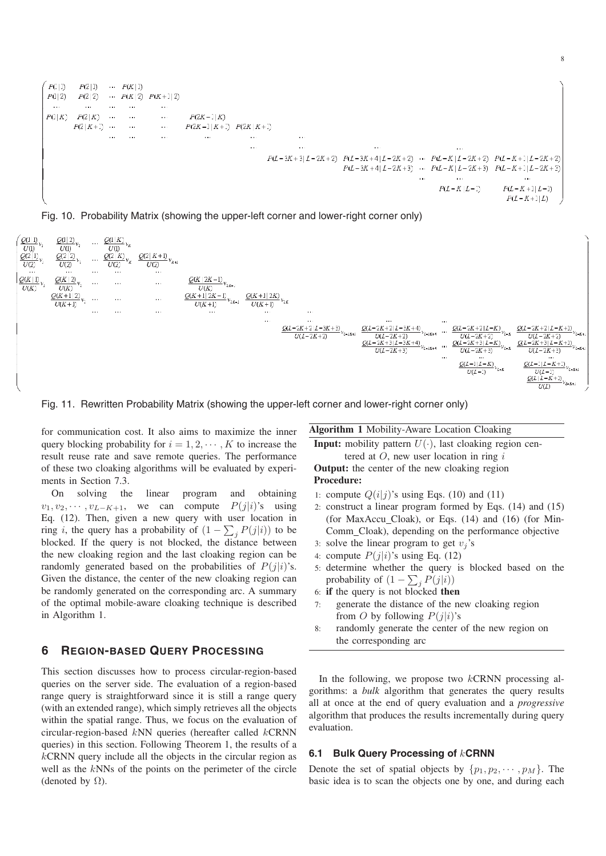

Fig. 10. Probability Matrix (showing the upper-left corner and lower-right corner only)



Fig. 11. Rewritten Probability Matrix (showing the upper-left corner and lower-right corner only)

for communication cost. It also aims to maximize the inner query blocking probability for  $i = 1, 2, \dots, K$  to increase the result reuse rate and save remote queries. The performance of these two cloaking algorithms will be evaluated by experiments in Section 7.3.

On solving the linear program and obtaining  $v_1, v_2, \cdots, v_{L-K+1}$ , we can compute  $P(j|i)$ 's using Eq. (12). Then, given a new query with user location in ring *i*, the query has a probability of  $(1 - \sum_j P(j|i))$  to be<br>blocked. If the query is not blocked, the distance between blocked. If the query is not blocked, the distance between the new cloaking region and the last cloaking region can be randomly generated based on the probabilities of  $P(j|i)$ 's. Given the distance, the center of the new cloaking region can be randomly generated on the corresponding arc. A summary of the optimal mobile-aware cloaking technique is described in Algorithm 1.

## **6 REGION-BASED QUERY PROCESSING**

This section discusses how to process circular-region-based queries on the server side. The evaluation of a region-based range query is straightforward since it is still a range query (with an extended range), which simply retrieves all the objects within the spatial range. Thus, we focus on the evaluation of circular-region-based kNN queries (hereafter called kCRNN queries) in this section. Following Theorem 1, the results of a  $kCRNN$  query include all the objects in the circular region as well as the kNNs of the points on the perimeter of the circle (denoted by  $\Omega$ ).

**Algorithm 1** Mobility-Aware Location Cloaking

**Input:** mobility pattern  $U(\cdot)$ , last cloaking region centered at  $O$ , new user location in ring  $i$ 

**Output:** the center of the new cloaking region **Procedure:**

- 1: compute  $Q(i|j)$ 's using Eqs. (10) and (11)
- 2: construct a linear program formed by Eqs. (14) and (15) (for MaxAccu Cloak), or Eqs. (14) and (16) (for Min-Comm Cloak), depending on the performance objective
- 3: solve the linear program to get  $v_i$ 's
- 4: compute  $P(j|i)$ 's using Eq. (12)
- 5: determine whether the query is blocked based on the probability of  $(1 - \sum_j P(j|i))$ <br>if the query is not blocked the
- 6: **if** the query is not blocked **then**
- 7: generate the distance of the new cloaking region from O by following  $P(j|i)$ 's
- 8: randomly generate the center of the new region on the corresponding arc

In the following, we propose two  $kCRNN$  processing algorithms: a *bulk* algorithm that generates the query results all at once at the end of query evaluation and a *progressive* algorithm that produces the results incrementally during query evaluation.

## **6.1 Bulk Query Processing of** k**CRNN**

Denote the set of spatial objects by  $\{p_1, p_2, \dots, p_M\}$ . The basic idea is to scan the objects one by one, and during each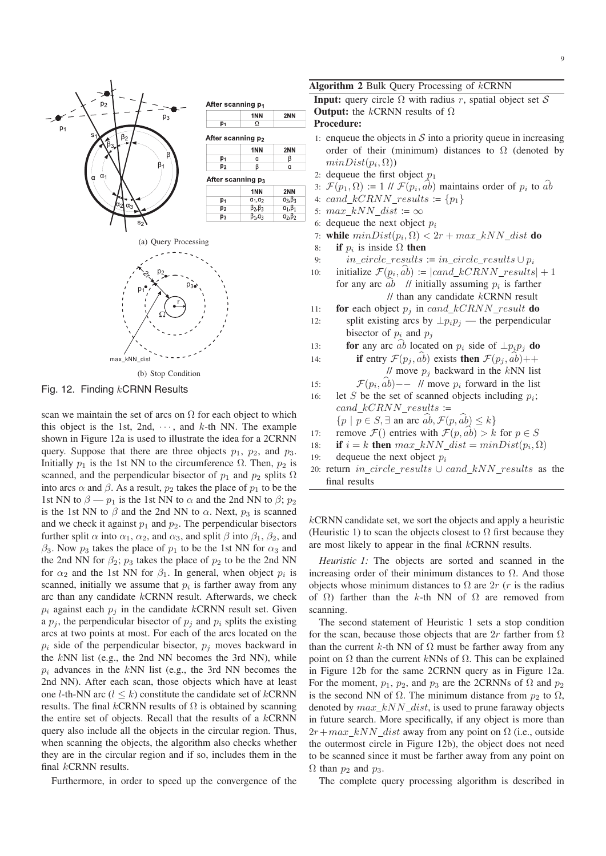

Fig. 12. Finding kCRNN Results

scan we maintain the set of arcs on  $\Omega$  for each object to which this object is the 1st, 2nd,  $\cdots$ , and k-th NN. The example shown in Figure 12a is used to illustrate the idea for a 2CRNN query. Suppose that there are three objects  $p_1$ ,  $p_2$ , and  $p_3$ . Initially  $p_1$  is the 1st NN to the circumference  $\Omega$ . Then,  $p_2$  is scanned, and the perpendicular bisector of  $p_1$  and  $p_2$  splits  $\Omega$ into arcs  $\alpha$  and  $\beta$ . As a result,  $p_2$  takes the place of  $p_1$  to be the 1st NN to  $\beta - p_1$  is the 1st NN to  $\alpha$  and the 2nd NN to  $\beta$ ;  $p_2$ is the 1st NN to  $\beta$  and the 2nd NN to  $\alpha$ . Next,  $p_3$  is scanned and we check it against  $p_1$  and  $p_2$ . The perpendicular bisectors further split  $\alpha$  into  $\alpha_1$ ,  $\alpha_2$ , and  $\alpha_3$ , and split  $\beta$  into  $\beta_1$ ,  $\beta_2$ , and  $\beta_3$ . Now  $p_3$  takes the place of  $p_1$  to be the 1st NN for  $\alpha_3$  and the 2nd NN for  $\beta_2$ ;  $p_3$  takes the place of  $p_2$  to be the 2nd NN for  $\alpha_2$  and the 1st NN for  $\beta_1$ . In general, when object  $p_i$  is scanned, initially we assume that  $p_i$  is farther away from any arc than any candidate kCRNN result. Afterwards, we check  $p_i$  against each  $p_j$  in the candidate kCRNN result set. Given a  $p_i$ , the perpendicular bisector of  $p_i$  and  $p_i$  splits the existing arcs at two points at most. For each of the arcs located on the  $p_i$  side of the perpendicular bisector,  $p_j$  moves backward in the kNN list (e.g., the 2nd NN becomes the 2rd NN), while the kNN list (e.g., the 2nd NN becomes the 3rd NN), while  $p_i$  advances in the kNN list (e.g., the 3rd NN becomes the<br>2nd NN<sub>D</sub> 4 fter each seen, these shiests which have at locate 2nd NN). After each scan, those objects which have at least one *l*-th-NN arc ( $l \leq k$ ) constitute the candidate set of *k*CRNN results. The final kCRNN results of  $\Omega$  is obtained by scanning the entire set of objects. Recall that the results of a kCRNN query also include all the objects in the circular region. Thus, when scanning the objects, the algorithm also checks whether they are in the circular region and if so, includes them in the final kCRNN results.

Furthermore, in order to speed up the convergence of the

**Algorithm 2** Bulk Query Processing of kCRNN

**Input:** query circle  $\Omega$  with radius r, spatial object set S **Output:** the kCRNN results of  $\Omega$ 

#### **Procedure:**

- 1: enqueue the objects in  $S$  into a priority queue in increasing order of their (minimum) distances to  $\Omega$  (denoted by  $minDist(p_i, \Omega)$
- 2: dequeue the first object  $p_1$
- 3:  $\mathcal{F}(p_1,\Omega) := 1 \mathcal{U} \mathcal{F}(p_i,\widehat{ab})$  maintains order of  $p_i$  to  $\widehat{ab}$
- 4: cand\_kCRNN\_results :=  $\{p_1\}$
- 5:  $max_kNN\_dist := \infty$
- 
- 6: dequeue the next object  $p_i$ <br>7: **while**  $minDist(p_i, \Omega) < 2$ 7: **while**  $minDist(p_i, \Omega) < 2r + max\_kNN\_dist$  **do**<br>8: **if**  $p_i$  is inside  $\Omega$  **then**
- 
- 8: **if**  $p_i$  is inside  $\Omega$  **then**<br>9: *in circle results* 9: in\_circle\_results := in\_circle\_results  $\cup p_i$ <br>10: initialize  $\mathcal{F}(p_i, \hat{ab})$  := |cand kCRNN results

initialize  $\mathcal{F}(p_i, \hat{ab}) \coloneqq |cand\_kCRNN\_results| + 1$ for any arc  $\hat{ab}$  // initially assuming  $p_i$  is farther  $\frac{1}{1}$  than any candidate  $kCRNN$  result

- 
- 11: **for** each object  $p_j$  in cand  $kCRNN\_result$  **do**<br>12: **split existing arcs by**  $\perp p_i p_j$  **the perpendicu** split existing arcs by  $\perp p_i p_j$  — the perpendicular bisector of  $p_i$  and  $p_j$
- 13: **for** any arc  $\hat{ab}$  located on  $p_i$  side of  $\perp p_i p_j$  **do**<br>14: **if** entry  $\mathcal{F}(p_i, \hat{ab})$  exists **then**  $\mathcal{F}(p_i, \hat{ab})$ ++

14: **if** entry 
$$
\mathcal{F}(p_j, \hat{ab})
$$
 exists **then**  $\mathcal{F}(p_j, \hat{ab})$ +  
\n// move  $p_j$  backward in the kNN list

15:  $\mathcal{F}(p_i, \hat{a}\hat{b})$  – // move  $p_i$  forward in the list

- 16: let S be the set of scanned objects including  $p_i$ ; cand  $kCRNN$  results :=
	- $\{p \mid p \in S, \exists \text{ an arc } ab, \mathcal{F}(p, ab) \leq k\}$
- 17: remove  $\mathcal{F}()$  entries with  $\mathcal{F}(p, a\overline{b}) > k$  for  $p \in S$ <br>18: **if**  $i = k$  **then** max kNN dist = minDist(p<sub>i</sub>,  $\Omega$
- 18: **if**  $i = k$  **then**  $max\_kNN\_dist = minDist(p_i, \Omega)$ <br>19: dequeue the next object  $p_i$ .
- dequeue the next object  $p_i$
- 20: return in\_circle\_results  $\cup$  cand\_kNN\_results as the final results

 $kCRNN$  candidate set, we sort the objects and apply a heuristic (Heuristic 1) to scan the objects closest to  $\Omega$  first because they are most likely to appear in the final kCRNN results.

*Heuristic 1:* The objects are sorted and scanned in the increasing order of their minimum distances to  $\Omega$ . And those objects whose minimum distances to  $\Omega$  are  $2r$  (r is the radius of Ω) farther than the k-th NN of  $Ω$  are removed from scanning.

The second statement of Heuristic 1 sets a stop condition for the scan, because those objects that are 2r farther from  $\Omega$ than the current k-th NN of  $\Omega$  must be farther away from any point on  $Ω$  than the current kNNs of  $Ω$ . This can be explained in Figure 12b for the same 2CRNN query as in Figure 12a. For the moment,  $p_1$ ,  $p_2$ , and  $p_3$  are the 2CRNNs of  $\Omega$  and  $p_2$ is the second NN of  $\Omega$ . The minimum distance from  $p_2$  to  $\Omega$ , denoted by  $max$  kNN dist, is used to prune faraway objects in future search. More specifically, if any object is more than  $2r + max$  kNN dist away from any point on  $\Omega$  (i.e., outside the outermost circle in Figure 12b), the object does not need to be scanned since it must be farther away from any point on  $\Omega$  than  $p_2$  and  $p_3$ .

The complete query processing algorithm is described in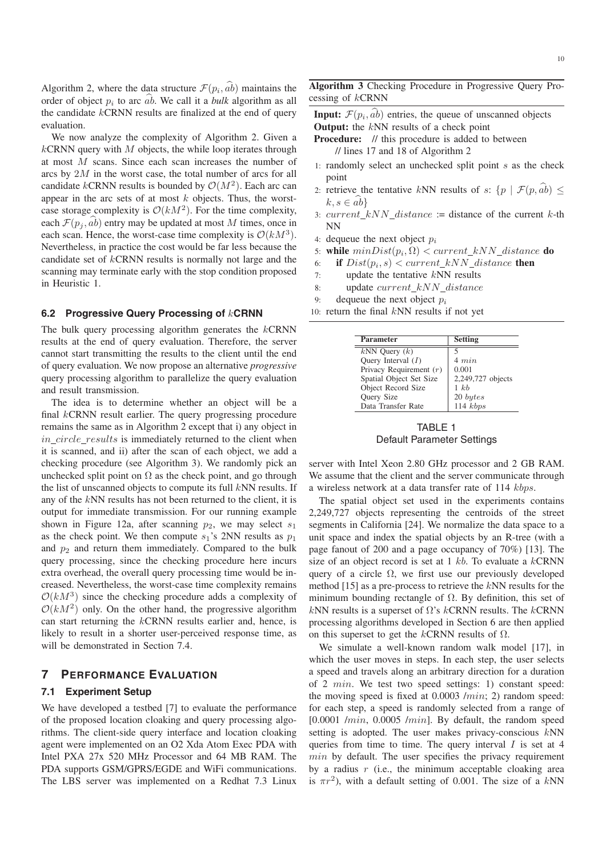Algorithm 2, where the data structure  $\mathcal{F}(p_i, \hat{ab})$  maintains the order of object  $p_i$  to arc  $\hat{ab}$ . We call it a *bulk* algorithm as all the candidate  $kCRNN$  results are finalized at the end of query evaluation.

We now analyze the complexity of Algorithm 2. Given a  $kCRNN$  query with  $M$  objects, the while loop iterates through at most M scans. Since each scan increases the number of arcs by 2M in the worst case, the total number of arcs for all candidate kCRNN results is bounded by  $\mathcal{O}(M^2)$ . Each arc can appear in the arc sets of at most  $k$  objects. Thus, the worstcase storage complexity is  $O(kM^2)$ . For the time complexity, each  $\mathcal{F}(p_i, ab)$  entry may be updated at most M times, once in each scan. Hence, the worst-case time complexity is  $\mathcal{O}(kM^3)$ . Nevertheless, in practice the cost would be far less because the candidate set of kCRNN results is normally not large and the scanning may terminate early with the stop condition proposed in Heuristic 1.

#### **6.2 Progressive Query Processing of** k**CRNN**

The bulk query processing algorithm generates the  $kCRNN$ results at the end of query evaluation. Therefore, the server cannot start transmitting the results to the client until the end of query evaluation. We now propose an alternative *progressive* query processing algorithm to parallelize the query evaluation and result transmission.

The idea is to determine whether an object will be a final kCRNN result earlier. The query progressing procedure remains the same as in Algorithm 2 except that i) any object in in circle results is immediately returned to the client when it is scanned, and ii) after the scan of each object, we add a checking procedure (see Algorithm 3). We randomly pick an unchecked split point on  $\Omega$  as the check point, and go through the list of unscanned objects to compute its full kNN results. If any of the kNN results has not been returned to the client, it is output for immediate transmission. For our running example shown in Figure 12a, after scanning  $p_2$ , we may select  $s_1$ as the check point. We then compute  $s_1$ 's 2NN results as  $p_1$ and  $p_2$  and return them immediately. Compared to the bulk query processing, since the checking procedure here incurs extra overhead, the overall query processing time would be increased. Nevertheless, the worst-case time complexity remains  $O(kM^3)$  since the checking procedure adds a complexity of  $\mathcal{O}(kM^2)$  only. On the other hand, the progressive algorithm can start returning the kCRNN results earlier and, hence, is likely to result in a shorter user-perceived response time, as will be demonstrated in Section 7.4.

#### **7 PERFORMANCE EVALUATION**

#### **7.1 Experiment Setup**

We have developed a testbed [7] to evaluate the performance of the proposed location cloaking and query processing algorithms. The client-side query interface and location cloaking agent were implemented on an O2 Xda Atom Exec PDA with Intel PXA 27x 520 MHz Processor and 64 MB RAM. The PDA supports GSM/GPRS/EGDE and WiFi communications. The LBS server was implemented on a Redhat 7.3 Linux **Algorithm 3** Checking Procedure in Progressive Query Processing of kCRNN

**Input:**  $\mathcal{F}(p_i, ab)$  entries, the queue of unscanned objects **Output:** the kNN results of a check point

- **Procedure:** // this procedure is added to between // lines 17 and 18 of Algorithm 2
- 1: randomly select an unchecked split point s as the check point
- 2: retrieve the tentative kNN results of s:  $\{p \mid \mathcal{F}(p, a\hat{b})\leq$  $k, s \in ab$
- 3:  $current\_kNN\_distance$  := distance of the current k-th NN
- 4: dequeue the next object  $p_i$ <br>5: while  $minDist(p_i, \Omega) < \epsilon$
- 5: **while**  $minDist(p_i, \Omega) < current\_kNN\_distance$  **do**<br>6. **if**  $Dist(p_i, s) < current\_kNN$  distance **then**
- 6: **if**  $Dist(p_i, s) < current\_kNN\_distance$  **then**<br>7: **update the tentative kNN results**
- update the tentative  $kNN$  results
- 8: update current kNN distance
- 9: dequeue the next object  $p_i$
- 10: return the final  $kNN$  results if not yet

| <b>Parameter</b>          | <b>Setting</b>    |
|---------------------------|-------------------|
| $kNN$ Query $(k)$         |                   |
| Ouery Interval $(I)$      | $4 \, min$        |
| Privacy Requirement $(r)$ | 0.001             |
| Spatial Object Set Size   | 2,249,727 objects |
| Object Record Size        | $1 \; k \cdot b$  |
| <b>Ouery Size</b>         | 20 bytes          |
| Data Transfer Rate        | 114 kbps          |

TABLE 1 Default Parameter Settings

server with Intel Xeon 2.80 GHz processor and 2 GB RAM. We assume that the client and the server communicate through a wireless network at a data transfer rate of 114 kbps.

The spatial object set used in the experiments contains 2,249,727 objects representing the centroids of the street segments in California [24]. We normalize the data space to a unit space and index the spatial objects by an R-tree (with a page fanout of 200 and a page occupancy of 70%) [13]. The size of an object record is set at  $1 kb$ . To evaluate a  $kCRNN$ query of a circle  $\Omega$ , we first use our previously developed method [15] as a pre-process to retrieve the kNN results for the minimum bounding rectangle of  $\Omega$ . By definition, this set of kNN results is a superset of  $\Omega$ 's kCRNN results. The kCRNN processing algorithms developed in Section 6 are then applied on this superset to get the kCRNN results of  $\Omega$ .

We simulate a well-known random walk model [17], in which the user moves in steps. In each step, the user selects a speed and travels along an arbitrary direction for a duration of 2 min. We test two speed settings: 1) constant speed: the moving speed is fixed at  $0.0003 / min$ ; 2) random speed: for each step, a speed is randomly selected from a range of  $[0.0001/min, 0.0005/min]$ . By default, the random speed setting is adopted. The user makes privacy-conscious kNN queries from time to time. The query interval  $I$  is set at 4 min by default. The user specifies the privacy requirement by a radius  $r$  (i.e., the minimum acceptable cloaking area is  $\pi r^2$ ), with a default setting of 0.001. The size of a kNN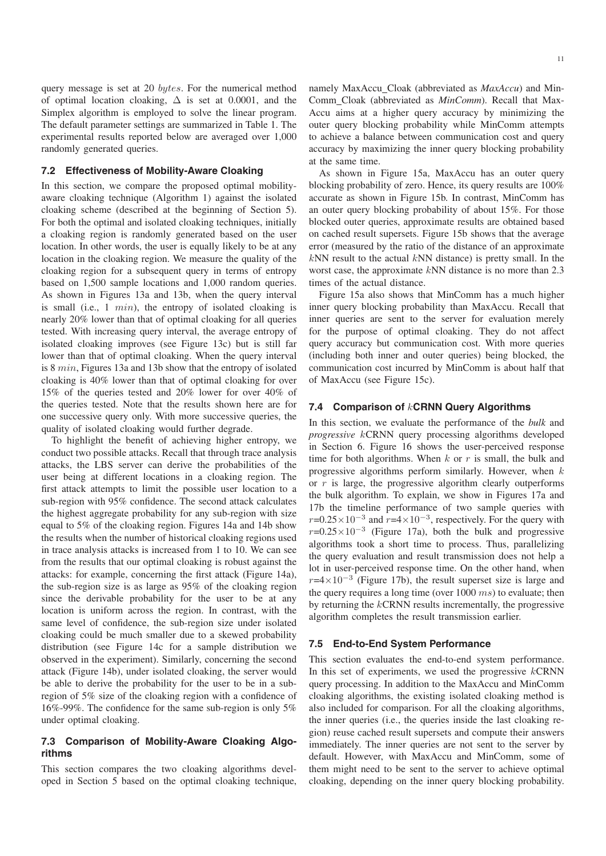query message is set at 20 bytes. For the numerical method of optimal location cloaking,  $\Delta$  is set at 0.0001, and the Simplex algorithm is employed to solve the linear program. The default parameter settings are summarized in Table 1. The experimental results reported below are averaged over 1,000 randomly generated queries.

#### **7.2 Effectiveness of Mobility-Aware Cloaking**

In this section, we compare the proposed optimal mobilityaware cloaking technique (Algorithm 1) against the isolated cloaking scheme (described at the beginning of Section 5). For both the optimal and isolated cloaking techniques, initially a cloaking region is randomly generated based on the user location. In other words, the user is equally likely to be at any location in the cloaking region. We measure the quality of the cloaking region for a subsequent query in terms of entropy based on 1,500 sample locations and 1,000 random queries. As shown in Figures 13a and 13b, when the query interval is small (i.e., 1 min), the entropy of isolated cloaking is nearly 20% lower than that of optimal cloaking for all queries tested. With increasing query interval, the average entropy of isolated cloaking improves (see Figure 13c) but is still far lower than that of optimal cloaking. When the query interval is 8 min, Figures 13a and 13b show that the entropy of isolated cloaking is 40% lower than that of optimal cloaking for over 15% of the queries tested and 20% lower for over 40% of the queries tested. Note that the results shown here are for one successive query only. With more successive queries, the quality of isolated cloaking would further degrade.

To highlight the benefit of achieving higher entropy, we conduct two possible attacks. Recall that through trace analysis attacks, the LBS server can derive the probabilities of the user being at different locations in a cloaking region. The first attack attempts to limit the possible user location to a sub-region with 95% confidence. The second attack calculates the highest aggregate probability for any sub-region with size equal to 5% of the cloaking region. Figures 14a and 14b show the results when the number of historical cloaking regions used in trace analysis attacks is increased from 1 to 10. We can see from the results that our optimal cloaking is robust against the attacks: for example, concerning the first attack (Figure 14a), the sub-region size is as large as 95% of the cloaking region since the derivable probability for the user to be at any location is uniform across the region. In contrast, with the same level of confidence, the sub-region size under isolated cloaking could be much smaller due to a skewed probability distribution (see Figure 14c for a sample distribution we observed in the experiment). Similarly, concerning the second attack (Figure 14b), under isolated cloaking, the server would be able to derive the probability for the user to be in a subregion of 5% size of the cloaking region with a confidence of 16%-99%. The confidence for the same sub-region is only 5% under optimal cloaking.

## **7.3 Comparison of Mobility-Aware Cloaking Algorithms**

This section compares the two cloaking algorithms developed in Section 5 based on the optimal cloaking technique, namely MaxAccu Cloak (abbreviated as *MaxAccu*) and Min-Comm Cloak (abbreviated as *MinComm*). Recall that Max-Accu aims at a higher query accuracy by minimizing the outer query blocking probability while MinComm attempts to achieve a balance between communication cost and query accuracy by maximizing the inner query blocking probability at the same time.

As shown in Figure 15a, MaxAccu has an outer query blocking probability of zero. Hence, its query results are 100% accurate as shown in Figure 15b. In contrast, MinComm has an outer query blocking probability of about 15%. For those blocked outer queries, approximate results are obtained based on cached result supersets. Figure 15b shows that the average error (measured by the ratio of the distance of an approximate  $kNN$  result to the actual  $kNN$  distance) is pretty small. In the worst case, the approximate kNN distance is no more than 2.3 times of the actual distance.

Figure 15a also shows that MinComm has a much higher inner query blocking probability than MaxAccu. Recall that inner queries are sent to the server for evaluation merely for the purpose of optimal cloaking. They do not affect query accuracy but communication cost. With more queries (including both inner and outer queries) being blocked, the communication cost incurred by MinComm is about half that of MaxAccu (see Figure 15c).

#### **7.4 Comparison of** k**CRNN Query Algorithms**

In this section, we evaluate the performance of the *bulk* and *progressive* kCRNN query processing algorithms developed in Section 6. Figure 16 shows the user-perceived response time for both algorithms. When  $k$  or  $r$  is small, the bulk and progressive algorithms perform similarly. However, when  $k$ or  $r$  is large, the progressive algorithm clearly outperforms the bulk algorithm. To explain, we show in Figures 17a and 17b the timeline performance of two sample queries with  $r=0.25\times10^{-3}$  and  $r=4\times10^{-3}$ , respectively. For the query with  $r=0.25\times10^{-3}$  (Figure 17a), both the bulk and progressive algorithms took a short time to process. Thus, parallelizing the query evaluation and result transmission does not help a lot in user-perceived response time. On the other hand, when  $r=4\times10^{-3}$  (Figure 17b), the result superset size is large and the query requires a long time (over  $1000$  ms) to evaluate; then by returning the  $kCRNN$  results incrementally, the progressive algorithm completes the result transmission earlier.

#### **7.5 End-to-End System Performance**

This section evaluates the end-to-end system performance. In this set of experiments, we used the progressive  $kCRNN$ query processing. In addition to the MaxAccu and MinComm cloaking algorithms, the existing isolated cloaking method is also included for comparison. For all the cloaking algorithms, the inner queries (i.e., the queries inside the last cloaking region) reuse cached result supersets and compute their answers immediately. The inner queries are not sent to the server by default. However, with MaxAccu and MinComm, some of them might need to be sent to the server to achieve optimal cloaking, depending on the inner query blocking probability.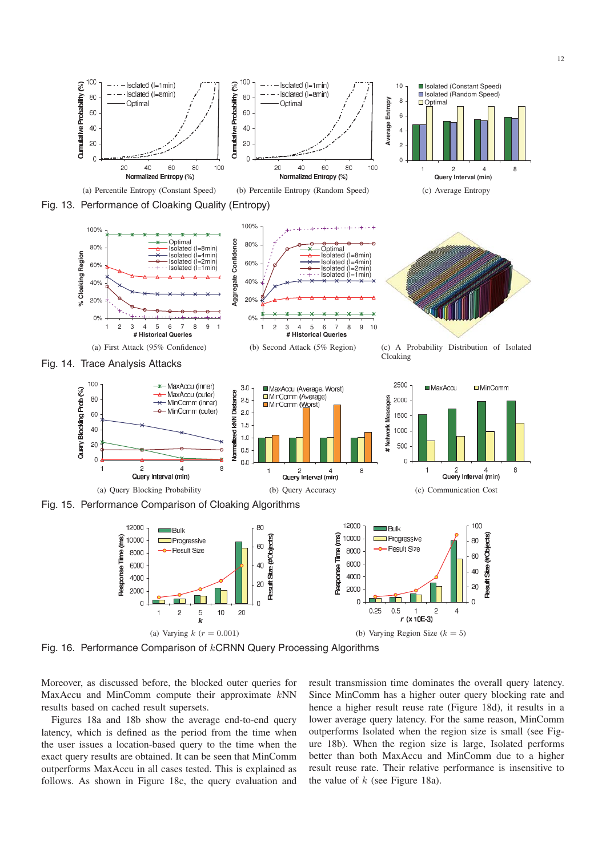

(a) Varying  $k (r = 0.001)$  (b) Varying Region Size  $(k = 5)$ 

Fig. 16. Performance Comparison of kCRNN Query Processing Algorithms

Moreover, as discussed before, the blocked outer queries for MaxAccu and MinComm compute their approximate kNN results based on cached result supersets.

Figures 18a and 18b show the average end-to-end query latency, which is defined as the period from the time when the user issues a location-based query to the time when the exact query results are obtained. It can be seen that MinComm outperforms MaxAccu in all cases tested. This is explained as follows. As shown in Figure 18c, the query evaluation and

result transmission time dominates the overall query latency. Since MinComm has a higher outer query blocking rate and hence a higher result reuse rate (Figure 18d), it results in a lower average query latency. For the same reason, MinComm outperforms Isolated when the region size is small (see Figure 18b). When the region size is large, Isolated performs better than both MaxAccu and MinComm due to a higher result reuse rate. Their relative performance is insensitive to the value of  $k$  (see Figure 18a).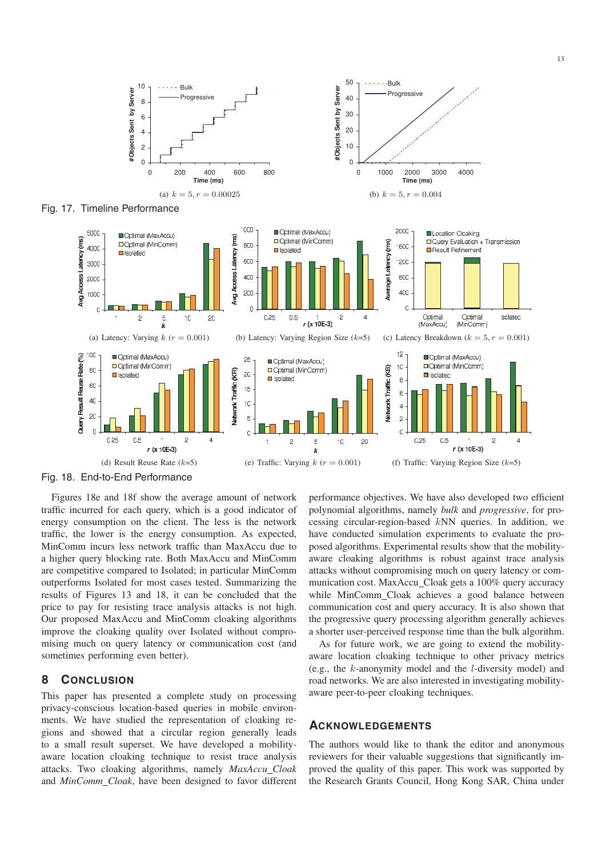

Fig. 18. End-to-End Performance

Figures 18e and 18f show the average amount of network traffic incurred for each query, which is a good indicator of energy consumption on the client. The less is the network traffic, the lower is the energy consumption. As expected, MinComm incurs less network traffic than MaxAccu due to a higher query blocking rate. Both MaxAccu and MinComm are competitive compared to Isolated; in particular MinComm outperforms Isolated for most cases tested. Summarizing the results of Figures 13 and 18, it can be concluded that the price to pay for resisting trace analysis attacks is not high. Our proposed MaxAccu and MinComm cloaking algorithms improve the cloaking quality over Isolated without compromising much on query latency or communication cost (and sometimes performing even better).

#### **8 CONCLUSION**

This paper has presented a complete study on processing privacy-conscious location-based queries in mobile environments. We have studied the representation of cloaking regions and showed that a circular region generally leads to a small result superset. We have developed a mobilityaware location cloaking technique to resist trace analysis attacks. Two cloaking algorithms, namely *MaxAccu Cloak* and *MinComm Cloak*, have been designed to favor different

performance objectives. We have also developed two efficient polynomial algorithms, namely *bulk* and *progressive*, for processing circular-region-based kNN queries. In addition, we have conducted simulation experiments to evaluate the proposed algorithms. Experimental results show that the mobilityaware cloaking algorithms is robust against trace analysis attacks without compromising much on query latency or communication cost. MaxAccu Cloak gets a 100% query accuracy while MinComm Cloak achieves a good balance between communication cost and query accuracy. It is also shown that the progressive query processing algorithm generally achieves a shorter user-perceived response time than the bulk algorithm.

As for future work, we are going to extend the mobilityaware location cloaking technique to other privacy metrics (e.g., the k-anonymity model and the l-diversity model) and road networks. We are also interested in investigating mobilityaware peer-to-peer cloaking techniques.

### **ACKNOWLEDGEMENTS**

The authors would like to thank the editor and anonymous reviewers for their valuable suggestions that significantly improved the quality of this paper. This work was supported by the Research Grants Council, Hong Kong SAR, China under